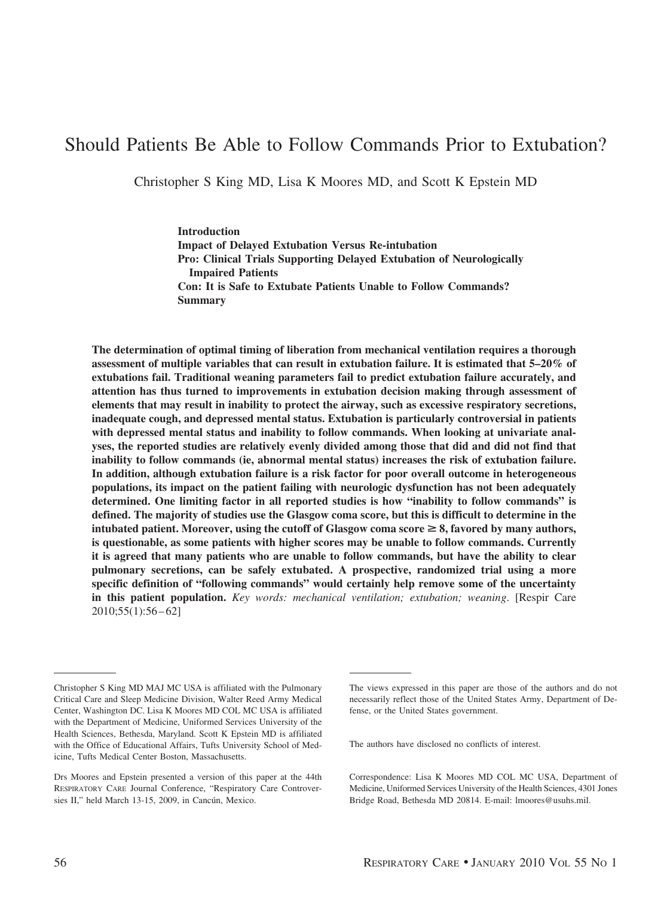# Should Patients Be Able to Follow Commands Prior to Extubation?

Christopher S King MD, Lisa K Moores MD, and Scott K Epstein MD

**Introduction Impact of Delayed Extubation Versus Re-intubation Pro: Clinical Trials Supporting Delayed Extubation of Neurologically Impaired Patients Con: It is Safe to Extubate Patients Unable to Follow Commands? Summary**

**The determination of optimal timing of liberation from mechanical ventilation requires a thorough assessment of multiple variables that can result in extubation failure. It is estimated that 5–20% of extubations fail. Traditional weaning parameters fail to predict extubation failure accurately, and attention has thus turned to improvements in extubation decision making through assessment of elements that may result in inability to protect the airway, such as excessive respiratory secretions, inadequate cough, and depressed mental status. Extubation is particularly controversial in patients with depressed mental status and inability to follow commands. When looking at univariate analyses, the reported studies are relatively evenly divided among those that did and did not find that inability to follow commands (ie, abnormal mental status) increases the risk of extubation failure. In addition, although extubation failure is a risk factor for poor overall outcome in heterogeneous populations, its impact on the patient failing with neurologic dysfunction has not been adequately determined. One limiting factor in all reported studies is how "inability to follow commands" is defined. The majority of studies use the Glasgow coma score, but this is difficult to determine in the intubated patient. Moreover, using the cutoff of Glasgow coma score**  $\geq 8$ , favored by many authors, **is questionable, as some patients with higher scores may be unable to follow commands. Currently it is agreed that many patients who are unable to follow commands, but have the ability to clear pulmonary secretions, can be safely extubated. A prospective, randomized trial using a more specific definition of "following commands" would certainly help remove some of the uncertainty in this patient population.** *Key words: mechanical ventilation; extubation; weaning*. [Respir Care 2010;55(1):56 – 62]

The authors have disclosed no conflicts of interest.

Correspondence: Lisa K Moores MD COL MC USA, Department of Medicine, Uniformed Services University of the Health Sciences, 4301 Jones Bridge Road, Bethesda MD 20814. E-mail: lmoores@usuhs.mil.

Christopher S King MD MAJ MC USA is affiliated with the Pulmonary Critical Care and Sleep Medicine Division, Walter Reed Army Medical Center, Washington DC. Lisa K Moores MD COL MC USA is affiliated with the Department of Medicine, Uniformed Services University of the Health Sciences, Bethesda, Maryland. Scott K Epstein MD is affiliated with the Office of Educational Affairs, Tufts University School of Medicine, Tufts Medical Center Boston, Massachusetts.

Drs Moores and Epstein presented a version of this paper at the 44th RESPIRATORY CARE Journal Conference, "Respiratory Care Controversies II," held March 13-15, 2009, in Cancún, Mexico.

The views expressed in this paper are those of the authors and do not necessarily reflect those of the United States Army, Department of Defense, or the United States government.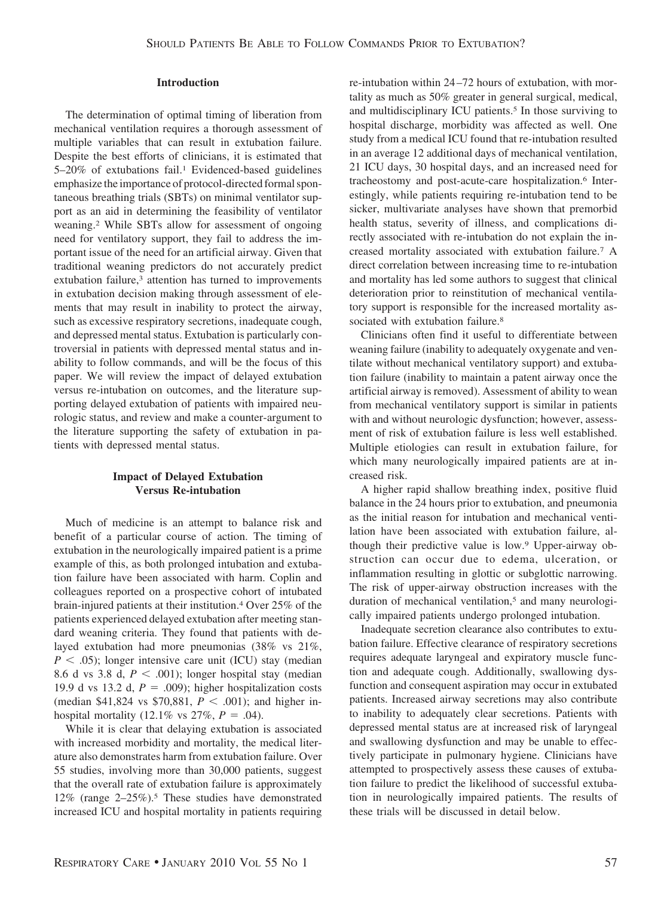#### **Introduction**

The determination of optimal timing of liberation from mechanical ventilation requires a thorough assessment of multiple variables that can result in extubation failure. Despite the best efforts of clinicians, it is estimated that 5–20% of extubations fail.<sup>1</sup> Evidenced-based guidelines emphasize the importance of protocol-directed formal spontaneous breathing trials (SBTs) on minimal ventilator support as an aid in determining the feasibility of ventilator weaning.2 While SBTs allow for assessment of ongoing need for ventilatory support, they fail to address the important issue of the need for an artificial airway. Given that traditional weaning predictors do not accurately predict extubation failure,<sup>3</sup> attention has turned to improvements in extubation decision making through assessment of elements that may result in inability to protect the airway, such as excessive respiratory secretions, inadequate cough, and depressed mental status. Extubation is particularly controversial in patients with depressed mental status and inability to follow commands, and will be the focus of this paper. We will review the impact of delayed extubation versus re-intubation on outcomes, and the literature supporting delayed extubation of patients with impaired neurologic status, and review and make a counter-argument to the literature supporting the safety of extubation in patients with depressed mental status.

# **Impact of Delayed Extubation Versus Re-intubation**

Much of medicine is an attempt to balance risk and benefit of a particular course of action. The timing of extubation in the neurologically impaired patient is a prime example of this, as both prolonged intubation and extubation failure have been associated with harm. Coplin and colleagues reported on a prospective cohort of intubated brain-injured patients at their institution.4 Over 25% of the patients experienced delayed extubation after meeting standard weaning criteria. They found that patients with delayed extubation had more pneumonias (38% vs 21%,  $P < .05$ ); longer intensive care unit (ICU) stay (median 8.6 d vs 3.8 d,  $P < .001$ ); longer hospital stay (median 19.9 d vs 13.2 d,  $P = .009$ ; higher hospitalization costs (median \$41,824 vs \$70,881,  $P < .001$ ); and higher inhospital mortality  $(12.1\% \text{ vs } 27\%, P = .04)$ .

While it is clear that delaying extubation is associated with increased morbidity and mortality, the medical literature also demonstrates harm from extubation failure. Over 55 studies, involving more than 30,000 patients, suggest that the overall rate of extubation failure is approximately 12% (range 2–25%).5 These studies have demonstrated increased ICU and hospital mortality in patients requiring re-intubation within 24 –72 hours of extubation, with mortality as much as 50% greater in general surgical, medical, and multidisciplinary ICU patients.<sup>5</sup> In those surviving to hospital discharge, morbidity was affected as well. One study from a medical ICU found that re-intubation resulted in an average 12 additional days of mechanical ventilation, 21 ICU days, 30 hospital days, and an increased need for tracheostomy and post-acute-care hospitalization.6 Interestingly, while patients requiring re-intubation tend to be sicker, multivariate analyses have shown that premorbid health status, severity of illness, and complications directly associated with re-intubation do not explain the increased mortality associated with extubation failure.7 A direct correlation between increasing time to re-intubation and mortality has led some authors to suggest that clinical deterioration prior to reinstitution of mechanical ventilatory support is responsible for the increased mortality associated with extubation failure.<sup>8</sup>

Clinicians often find it useful to differentiate between weaning failure (inability to adequately oxygenate and ventilate without mechanical ventilatory support) and extubation failure (inability to maintain a patent airway once the artificial airway is removed). Assessment of ability to wean from mechanical ventilatory support is similar in patients with and without neurologic dysfunction; however, assessment of risk of extubation failure is less well established. Multiple etiologies can result in extubation failure, for which many neurologically impaired patients are at increased risk.

A higher rapid shallow breathing index, positive fluid balance in the 24 hours prior to extubation, and pneumonia as the initial reason for intubation and mechanical ventilation have been associated with extubation failure, although their predictive value is low.9 Upper-airway obstruction can occur due to edema, ulceration, or inflammation resulting in glottic or subglottic narrowing. The risk of upper-airway obstruction increases with the duration of mechanical ventilation,<sup>5</sup> and many neurologically impaired patients undergo prolonged intubation.

Inadequate secretion clearance also contributes to extubation failure. Effective clearance of respiratory secretions requires adequate laryngeal and expiratory muscle function and adequate cough. Additionally, swallowing dysfunction and consequent aspiration may occur in extubated patients. Increased airway secretions may also contribute to inability to adequately clear secretions. Patients with depressed mental status are at increased risk of laryngeal and swallowing dysfunction and may be unable to effectively participate in pulmonary hygiene. Clinicians have attempted to prospectively assess these causes of extubation failure to predict the likelihood of successful extubation in neurologically impaired patients. The results of these trials will be discussed in detail below.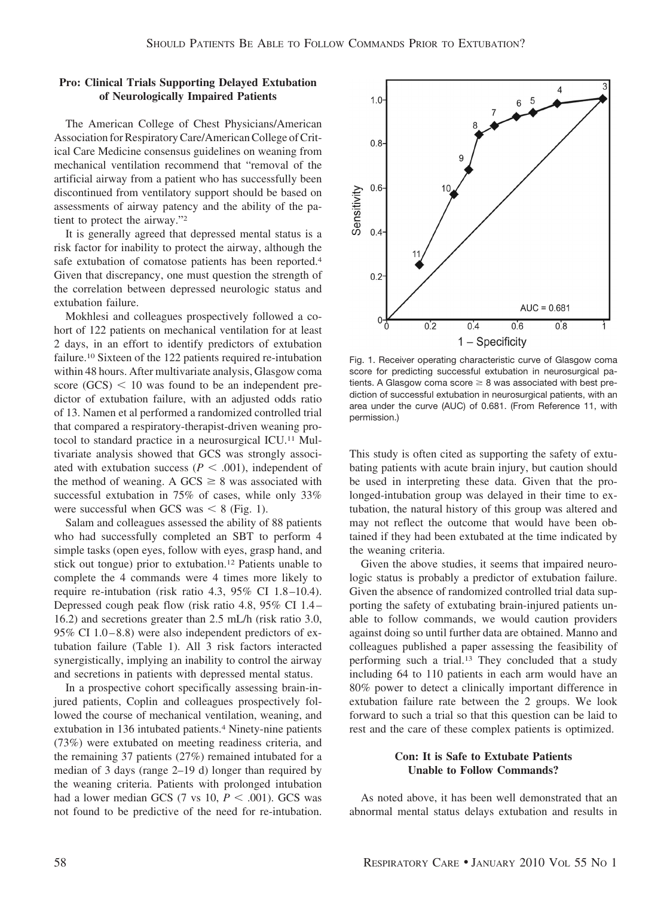## **Pro: Clinical Trials Supporting Delayed Extubation of Neurologically Impaired Patients**

The American College of Chest Physicians/American Association for Respiratory Care/American College of Critical Care Medicine consensus guidelines on weaning from mechanical ventilation recommend that "removal of the artificial airway from a patient who has successfully been discontinued from ventilatory support should be based on assessments of airway patency and the ability of the patient to protect the airway."2

It is generally agreed that depressed mental status is a risk factor for inability to protect the airway, although the safe extubation of comatose patients has been reported.4 Given that discrepancy, one must question the strength of the correlation between depressed neurologic status and extubation failure.

Mokhlesi and colleagues prospectively followed a cohort of 122 patients on mechanical ventilation for at least 2 days, in an effort to identify predictors of extubation failure.10 Sixteen of the 122 patients required re-intubation within 48 hours. After multivariate analysis, Glasgow coma score  $(GCS)$  < 10 was found to be an independent predictor of extubation failure, with an adjusted odds ratio of 13. Namen et al performed a randomized controlled trial that compared a respiratory-therapist-driven weaning protocol to standard practice in a neurosurgical ICU.11 Multivariate analysis showed that GCS was strongly associated with extubation success ( $P < .001$ ), independent of the method of weaning. A GCS  $\geq$  8 was associated with successful extubation in 75% of cases, while only 33% were successful when GCS was  $\leq 8$  (Fig. 1).

Salam and colleagues assessed the ability of 88 patients who had successfully completed an SBT to perform 4 simple tasks (open eyes, follow with eyes, grasp hand, and stick out tongue) prior to extubation.12 Patients unable to complete the 4 commands were 4 times more likely to require re-intubation (risk ratio 4.3, 95% CI 1.8 –10.4). Depressed cough peak flow (risk ratio 4.8, 95% CI 1.4 – 16.2) and secretions greater than 2.5 mL/h (risk ratio 3.0, 95% CI  $1.0 - 8.8$ ) were also independent predictors of extubation failure (Table 1). All 3 risk factors interacted synergistically, implying an inability to control the airway and secretions in patients with depressed mental status.

In a prospective cohort specifically assessing brain-injured patients, Coplin and colleagues prospectively followed the course of mechanical ventilation, weaning, and extubation in 136 intubated patients.<sup>4</sup> Ninety-nine patients (73%) were extubated on meeting readiness criteria, and the remaining 37 patients (27%) remained intubated for a median of 3 days (range 2–19 d) longer than required by the weaning criteria. Patients with prolonged intubation had a lower median GCS (7 vs 10,  $P < .001$ ). GCS was not found to be predictive of the need for re-intubation.



Fig. 1. Receiver operating characteristic curve of Glasgow coma score for predicting successful extubation in neurosurgical patients. A Glasgow coma score  $\geq 8$  was associated with best prediction of successful extubation in neurosurgical patients, with an area under the curve (AUC) of 0.681. (From Reference 11, with permission.)

This study is often cited as supporting the safety of extubating patients with acute brain injury, but caution should be used in interpreting these data. Given that the prolonged-intubation group was delayed in their time to extubation, the natural history of this group was altered and may not reflect the outcome that would have been obtained if they had been extubated at the time indicated by the weaning criteria.

Given the above studies, it seems that impaired neurologic status is probably a predictor of extubation failure. Given the absence of randomized controlled trial data supporting the safety of extubating brain-injured patients unable to follow commands, we would caution providers against doing so until further data are obtained. Manno and colleagues published a paper assessing the feasibility of performing such a trial.13 They concluded that a study including 64 to 110 patients in each arm would have an 80% power to detect a clinically important difference in extubation failure rate between the 2 groups. We look forward to such a trial so that this question can be laid to rest and the care of these complex patients is optimized.

## **Con: It is Safe to Extubate Patients Unable to Follow Commands?**

As noted above, it has been well demonstrated that an abnormal mental status delays extubation and results in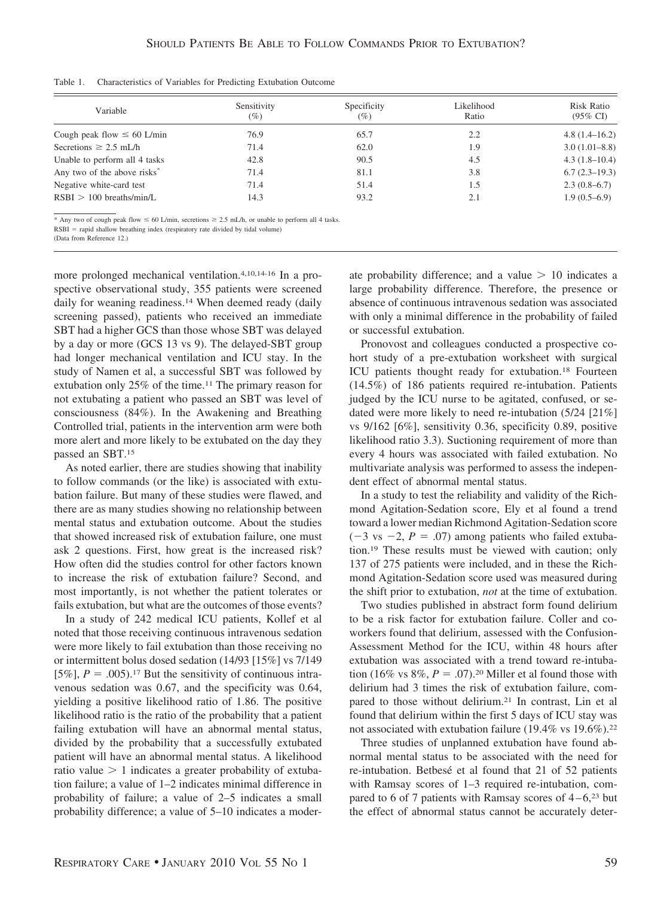| Variable                                | Sensitivity<br>$(\%)$ | Specificity<br>(%) | Likelihood<br>Ratio | Risk Ratio<br>$(95\% \text{ CI})$ |
|-----------------------------------------|-----------------------|--------------------|---------------------|-----------------------------------|
| Cough peak flow $\leq 60$ L/min         | 76.9                  | 65.7               | 2.2                 | $4.8(1.4-16.2)$                   |
| Secretions $\geq 2.5$ mL/h              | 71.4                  | 62.0               | 1.9                 | $3.0(1.01 - 8.8)$                 |
| Unable to perform all 4 tasks           | 42.8                  | 90.5               | 4.5                 | $4.3(1.8-10.4)$                   |
| Any two of the above risks <sup>*</sup> | 71.4                  | 81.1               | 3.8                 | $6.7(2.3-19.3)$                   |
| Negative white-card test                | 71.4                  | 51.4               | 1.5                 | $2.3(0.8-6.7)$                    |
| $RSBI > 100$ breaths/min/L              | 14.3                  | 93.2               | 2.1                 | $1.9(0.5-6.9)$                    |

Table 1. Characteristics of Variables for Predicting Extubation Outcome

\* Any two of cough peak flow  $\leq 60$  L/min, secretions  $\geq 2.5$  mL/h, or unable to perform all 4 tasks.

 $RSBI =$  rapid shallow breathing index (respiratory rate divided by tidal volume)

(Data from Reference 12.)

more prolonged mechanical ventilation.4,10,14-16 In a prospective observational study, 355 patients were screened daily for weaning readiness.<sup>14</sup> When deemed ready (daily screening passed), patients who received an immediate SBT had a higher GCS than those whose SBT was delayed by a day or more (GCS 13 vs 9). The delayed-SBT group had longer mechanical ventilation and ICU stay. In the study of Namen et al, a successful SBT was followed by extubation only 25% of the time.11 The primary reason for not extubating a patient who passed an SBT was level of consciousness (84%). In the Awakening and Breathing Controlled trial, patients in the intervention arm were both more alert and more likely to be extubated on the day they passed an SBT.15

As noted earlier, there are studies showing that inability to follow commands (or the like) is associated with extubation failure. But many of these studies were flawed, and there are as many studies showing no relationship between mental status and extubation outcome. About the studies that showed increased risk of extubation failure, one must ask 2 questions. First, how great is the increased risk? How often did the studies control for other factors known to increase the risk of extubation failure? Second, and most importantly, is not whether the patient tolerates or fails extubation, but what are the outcomes of those events?

In a study of 242 medical ICU patients, Kollef et al noted that those receiving continuous intravenous sedation were more likely to fail extubation than those receiving no or intermittent bolus dosed sedation (14/93 [15%] vs 7/149 [5%],  $P = .005$ ).<sup>17</sup> But the sensitivity of continuous intravenous sedation was 0.67, and the specificity was 0.64, yielding a positive likelihood ratio of 1.86. The positive likelihood ratio is the ratio of the probability that a patient failing extubation will have an abnormal mental status, divided by the probability that a successfully extubated patient will have an abnormal mental status. A likelihood ratio value  $> 1$  indicates a greater probability of extubation failure; a value of 1–2 indicates minimal difference in probability of failure; a value of 2–5 indicates a small probability difference; a value of 5–10 indicates a moderate probability difference; and a value  $> 10$  indicates a large probability difference. Therefore, the presence or absence of continuous intravenous sedation was associated with only a minimal difference in the probability of failed or successful extubation.

Pronovost and colleagues conducted a prospective cohort study of a pre-extubation worksheet with surgical ICU patients thought ready for extubation.18 Fourteen (14.5%) of 186 patients required re-intubation. Patients judged by the ICU nurse to be agitated, confused, or sedated were more likely to need re-intubation (5/24 [21%] vs 9/162 [6%], sensitivity 0.36, specificity 0.89, positive likelihood ratio 3.3). Suctioning requirement of more than every 4 hours was associated with failed extubation. No multivariate analysis was performed to assess the independent effect of abnormal mental status.

In a study to test the reliability and validity of the Richmond Agitation-Sedation score, Ely et al found a trend toward a lower median Richmond Agitation-Sedation score  $(-3 \text{ vs } -2, P = .07)$  among patients who failed extubation.19 These results must be viewed with caution; only 137 of 275 patients were included, and in these the Richmond Agitation-Sedation score used was measured during the shift prior to extubation, *not* at the time of extubation.

Two studies published in abstract form found delirium to be a risk factor for extubation failure. Coller and coworkers found that delirium, assessed with the Confusion-Assessment Method for the ICU, within 48 hours after extubation was associated with a trend toward re-intubation (16% vs  $8\%, P = .07$ ).<sup>20</sup> Miller et al found those with delirium had 3 times the risk of extubation failure, compared to those without delirium.21 In contrast, Lin et al found that delirium within the first 5 days of ICU stay was not associated with extubation failure (19.4% vs 19.6%).<sup>22</sup>

Three studies of unplanned extubation have found abnormal mental status to be associated with the need for re-intubation. Betbesé et al found that 21 of 52 patients with Ramsay scores of 1–3 required re-intubation, compared to 6 of 7 patients with Ramsay scores of  $4-6$ ,<sup>23</sup> but the effect of abnormal status cannot be accurately deter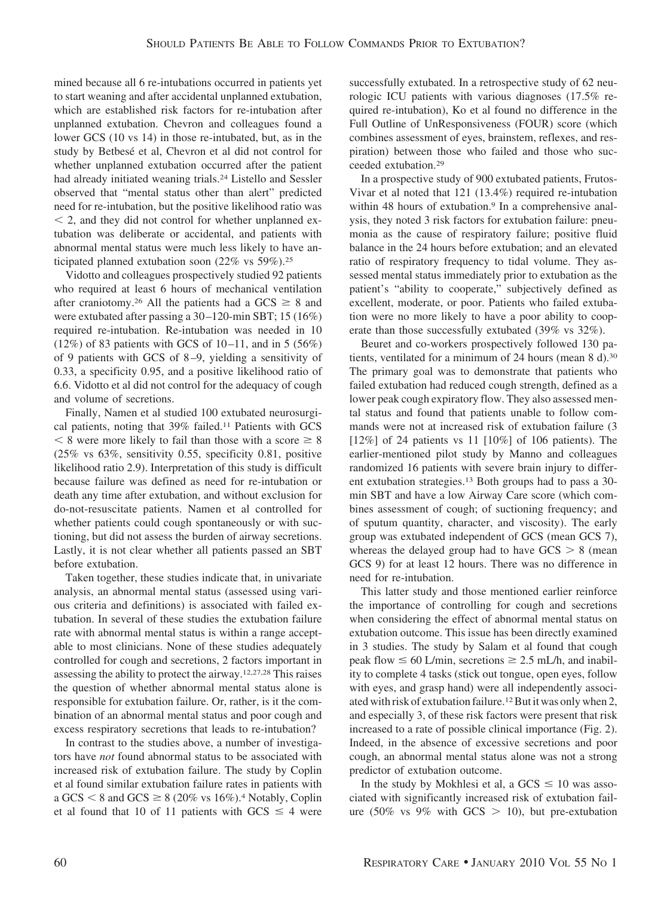mined because all 6 re-intubations occurred in patients yet to start weaning and after accidental unplanned extubation, which are established risk factors for re-intubation after unplanned extubation. Chevron and colleagues found a lower GCS (10 vs 14) in those re-intubated, but, as in the study by Betbesé et al, Chevron et al did not control for whether unplanned extubation occurred after the patient had already initiated weaning trials.<sup>24</sup> Listello and Sessler observed that "mental status other than alert" predicted need for re-intubation, but the positive likelihood ratio was  $\leq$  2, and they did not control for whether unplanned extubation was deliberate or accidental, and patients with abnormal mental status were much less likely to have anticipated planned extubation soon (22% vs 59%).25

Vidotto and colleagues prospectively studied 92 patients who required at least 6 hours of mechanical ventilation after craniotomy.<sup>26</sup> All the patients had a GCS  $\geq 8$  and were extubated after passing a 30 –120-min SBT; 15 (16%) required re-intubation. Re-intubation was needed in 10 (12%) of 83 patients with GCS of 10-11, and in 5 (56%) of 9 patients with GCS of 8 –9, yielding a sensitivity of 0.33, a specificity 0.95, and a positive likelihood ratio of 6.6. Vidotto et al did not control for the adequacy of cough and volume of secretions.

Finally, Namen et al studied 100 extubated neurosurgical patients, noting that 39% failed.11 Patients with GCS  $8 \times 8$  were more likely to fail than those with a score  $\geq 8$ (25% vs 63%, sensitivity 0.55, specificity 0.81, positive likelihood ratio 2.9). Interpretation of this study is difficult because failure was defined as need for re-intubation or death any time after extubation, and without exclusion for do-not-resuscitate patients. Namen et al controlled for whether patients could cough spontaneously or with suctioning, but did not assess the burden of airway secretions. Lastly, it is not clear whether all patients passed an SBT before extubation.

Taken together, these studies indicate that, in univariate analysis, an abnormal mental status (assessed using various criteria and definitions) is associated with failed extubation. In several of these studies the extubation failure rate with abnormal mental status is within a range acceptable to most clinicians. None of these studies adequately controlled for cough and secretions, 2 factors important in assessing the ability to protect the airway.12,27,28 This raises the question of whether abnormal mental status alone is responsible for extubation failure. Or, rather, is it the combination of an abnormal mental status and poor cough and excess respiratory secretions that leads to re-intubation?

In contrast to the studies above, a number of investigators have *not* found abnormal status to be associated with increased risk of extubation failure. The study by Coplin et al found similar extubation failure rates in patients with a GCS  $\leq$  8 and GCS  $\geq$  8 (20% vs 16%).<sup>4</sup> Notably, Coplin et al found that 10 of 11 patients with GCS  $\leq$  4 were

successfully extubated. In a retrospective study of 62 neurologic ICU patients with various diagnoses (17.5% required re-intubation), Ko et al found no difference in the Full Outline of UnResponsiveness (FOUR) score (which combines assessment of eyes, brainstem, reflexes, and respiration) between those who failed and those who succeeded extubation.29

In a prospective study of 900 extubated patients, Frutos-Vivar et al noted that 121 (13.4%) required re-intubation within 48 hours of extubation.<sup>9</sup> In a comprehensive analysis, they noted 3 risk factors for extubation failure: pneumonia as the cause of respiratory failure; positive fluid balance in the 24 hours before extubation; and an elevated ratio of respiratory frequency to tidal volume. They assessed mental status immediately prior to extubation as the patient's "ability to cooperate," subjectively defined as excellent, moderate, or poor. Patients who failed extubation were no more likely to have a poor ability to cooperate than those successfully extubated (39% vs 32%).

Beuret and co-workers prospectively followed 130 patients, ventilated for a minimum of 24 hours (mean 8 d).30 The primary goal was to demonstrate that patients who failed extubation had reduced cough strength, defined as a lower peak cough expiratory flow. They also assessed mental status and found that patients unable to follow commands were not at increased risk of extubation failure (3 [12%] of 24 patients vs 11 [10%] of 106 patients). The earlier-mentioned pilot study by Manno and colleagues randomized 16 patients with severe brain injury to different extubation strategies.13 Both groups had to pass a 30 min SBT and have a low Airway Care score (which combines assessment of cough; of suctioning frequency; and of sputum quantity, character, and viscosity). The early group was extubated independent of GCS (mean GCS 7), whereas the delayed group had to have  $GCS > 8$  (mean GCS 9) for at least 12 hours. There was no difference in need for re-intubation.

This latter study and those mentioned earlier reinforce the importance of controlling for cough and secretions when considering the effect of abnormal mental status on extubation outcome. This issue has been directly examined in 3 studies. The study by Salam et al found that cough peak flow  $\leq 60$  L/min, secretions  $\geq 2.5$  mL/h, and inability to complete 4 tasks (stick out tongue, open eyes, follow with eyes, and grasp hand) were all independently associated with risk of extubation failure.<sup>12</sup> But it was only when 2, and especially 3, of these risk factors were present that risk increased to a rate of possible clinical importance (Fig. 2). Indeed, in the absence of excessive secretions and poor cough, an abnormal mental status alone was not a strong predictor of extubation outcome.

In the study by Mokhlesi et al, a  $GCS \leq 10$  was associated with significantly increased risk of extubation failure (50% vs 9% with GCS  $>$  10), but pre-extubation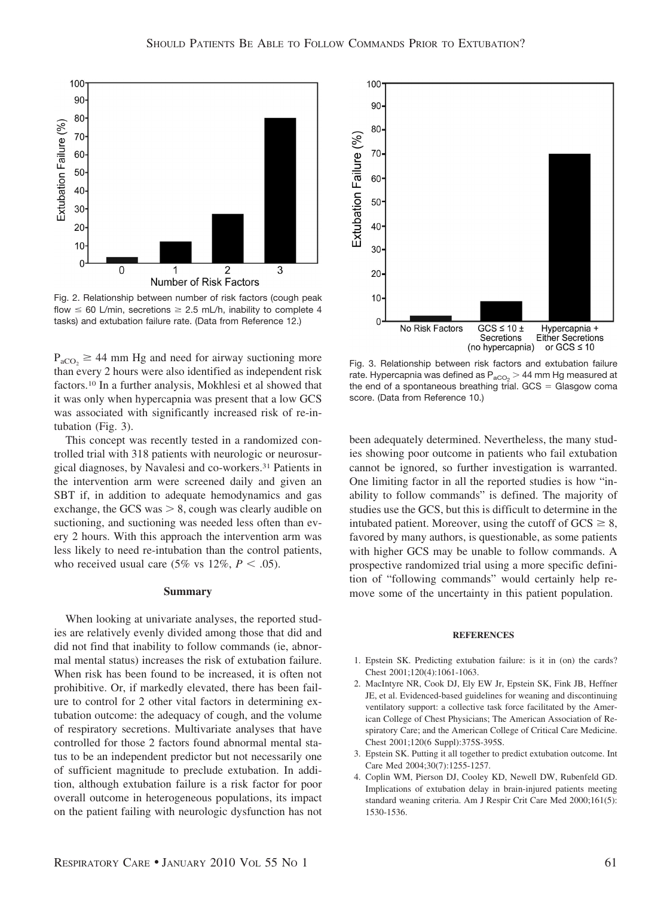

Number of Risk Factors

 $\overline{1}$ 

 $\overline{2}$ 

 $\overline{3}$ 

100

90

 $80 -$ 

70

60

50

40

30

20 10

 $\mathbf 0$ 

 $\overline{0}$ 

Extubation Failure (%)

 $P_{aCO_2} \geq 44$  mm Hg and need for airway suctioning more than every 2 hours were also identified as independent risk factors.10 In a further analysis, Mokhlesi et al showed that it was only when hypercapnia was present that a low GCS was associated with significantly increased risk of re-intubation (Fig. 3).

This concept was recently tested in a randomized controlled trial with 318 patients with neurologic or neurosurgical diagnoses, by Navalesi and co-workers.31 Patients in the intervention arm were screened daily and given an SBT if, in addition to adequate hemodynamics and gas exchange, the GCS was  $> 8$ , cough was clearly audible on suctioning, and suctioning was needed less often than every 2 hours. With this approach the intervention arm was less likely to need re-intubation than the control patients, who received usual care (5% vs  $12\%, P < .05$ ).

#### **Summary**

When looking at univariate analyses, the reported studies are relatively evenly divided among those that did and did not find that inability to follow commands (ie, abnormal mental status) increases the risk of extubation failure. When risk has been found to be increased, it is often not prohibitive. Or, if markedly elevated, there has been failure to control for 2 other vital factors in determining extubation outcome: the adequacy of cough, and the volume of respiratory secretions. Multivariate analyses that have controlled for those 2 factors found abnormal mental status to be an independent predictor but not necessarily one of sufficient magnitude to preclude extubation. In addition, although extubation failure is a risk factor for poor overall outcome in heterogeneous populations, its impact on the patient failing with neurologic dysfunction has not

Fig. 3. Relationship between risk factors and extubation failure rate. Hypercapnia was defined as  $P_{aCO_2}$  > 44 mm Hg measured at the end of a spontaneous breathing trial.  $GCS = G$ lasgow coma score. (Data from Reference 10.)

been adequately determined. Nevertheless, the many studies showing poor outcome in patients who fail extubation cannot be ignored, so further investigation is warranted. One limiting factor in all the reported studies is how "inability to follow commands" is defined. The majority of studies use the GCS, but this is difficult to determine in the intubated patient. Moreover, using the cutoff of  $GCS \geq 8$ , favored by many authors, is questionable, as some patients with higher GCS may be unable to follow commands. A prospective randomized trial using a more specific definition of "following commands" would certainly help remove some of the uncertainty in this patient population.

#### **REFERENCES**

- 1. Epstein SK. Predicting extubation failure: is it in (on) the cards? Chest 2001;120(4):1061-1063.
- 2. MacIntyre NR, Cook DJ, Ely EW Jr, Epstein SK, Fink JB, Heffner JE, et al. Evidenced-based guidelines for weaning and discontinuing ventilatory support: a collective task force facilitated by the American College of Chest Physicians; The American Association of Respiratory Care; and the American College of Critical Care Medicine. Chest 2001;120(6 Suppl):375S-395S.
- 3. Epstein SK. Putting it all together to predict extubation outcome. Int Care Med 2004;30(7):1255-1257.
- 4. Coplin WM, Pierson DJ, Cooley KD, Newell DW, Rubenfeld GD. Implications of extubation delay in brain-injured patients meeting standard weaning criteria. Am J Respir Crit Care Med 2000;161(5): 1530-1536.

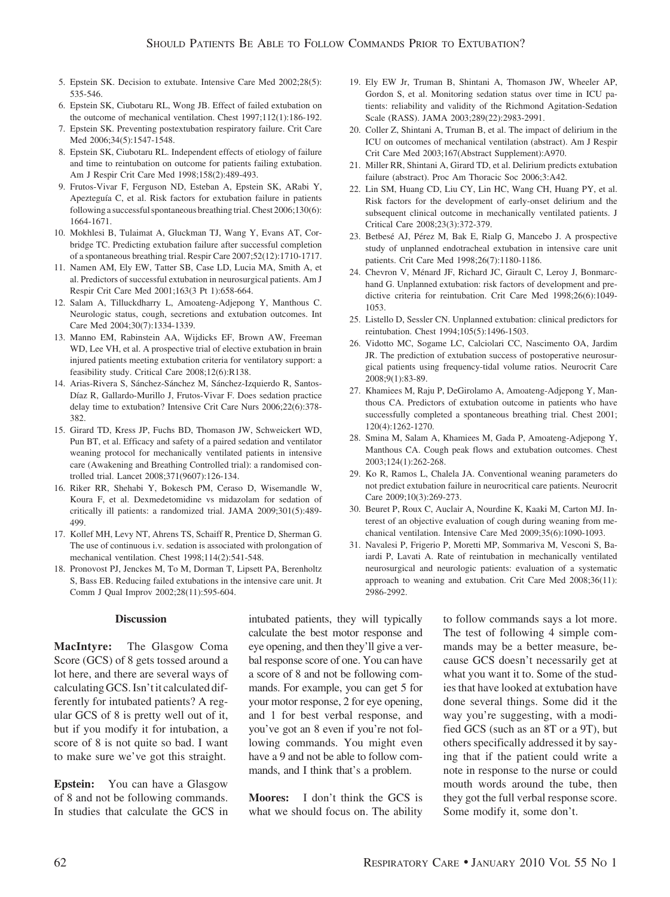- 5. Epstein SK. Decision to extubate. Intensive Care Med 2002;28(5): 535-546.
- 6. Epstein SK, Ciubotaru RL, Wong JB. Effect of failed extubation on the outcome of mechanical ventilation. Chest 1997;112(1):186-192.
- 7. Epstein SK. Preventing postextubation respiratory failure. Crit Care Med 2006;34(5):1547-1548.
- 8. Epstein SK, Ciubotaru RL. Independent effects of etiology of failure and time to reintubation on outcome for patients failing extubation. Am J Respir Crit Care Med 1998;158(2):489-493.
- 9. Frutos-Vivar F, Ferguson ND, Esteban A, Epstein SK, ARabi Y, Apezteguía C, et al. Risk factors for extubation failure in patients following a successful spontaneous breathing trial. Chest 2006;130(6): 1664-1671.
- 10. Mokhlesi B, Tulaimat A, Gluckman TJ, Wang Y, Evans AT, Corbridge TC. Predicting extubation failure after successful completion of a spontaneous breathing trial. Respir Care 2007;52(12):1710-1717.
- 11. Namen AM, Ely EW, Tatter SB, Case LD, Lucia MA, Smith A, et al. Predictors of successful extubation in neurosurgical patients. Am J Respir Crit Care Med 2001;163(3 Pt 1):658-664.
- 12. Salam A, Tilluckdharry L, Amoateng-Adjepong Y, Manthous C. Neurologic status, cough, secretions and extubation outcomes. Int Care Med 2004;30(7):1334-1339.
- 13. Manno EM, Rabinstein AA, Wijdicks EF, Brown AW, Freeman WD, Lee VH, et al. A prospective trial of elective extubation in brain injured patients meeting extubation criteria for ventilatory support: a feasibility study. Critical Care 2008;12(6):R138.
- 14. Arias-Rivera S, Sánchez-Sánchez M, Sánchez-Izquierdo R, Santos-Díaz R, Gallardo-Murillo J, Frutos-Vivar F. Does sedation practice delay time to extubation? Intensive Crit Care Nurs 2006;22(6):378- 382.
- 15. Girard TD, Kress JP, Fuchs BD, Thomason JW, Schweickert WD, Pun BT, et al. Efficacy and safety of a paired sedation and ventilator weaning protocol for mechanically ventilated patients in intensive care (Awakening and Breathing Controlled trial): a randomised controlled trial. Lancet 2008;371(9607):126-134.
- 16. Riker RR, Shehabi Y, Bokesch PM, Ceraso D, Wisemandle W, Koura F, et al. Dexmedetomidine vs midazolam for sedation of critically ill patients: a randomized trial. JAMA 2009;301(5):489- 499.
- 17. Kollef MH, Levy NT, Ahrens TS, Schaiff R, Prentice D, Sherman G. The use of continuous i.v. sedation is associated with prolongation of mechanical ventilation. Chest 1998;114(2):541-548.
- 18. Pronovost PJ, Jenckes M, To M, Dorman T, Lipsett PA, Berenholtz S, Bass EB. Reducing failed extubations in the intensive care unit. Jt Comm J Qual Improv 2002;28(11):595-604.

#### **Discussion**

**MacIntyre:** The Glasgow Coma Score (GCS) of 8 gets tossed around a lot here, and there are several ways of calculating GCS. Isn't it calculated differently for intubated patients? A regular GCS of 8 is pretty well out of it, but if you modify it for intubation, a score of 8 is not quite so bad. I want to make sure we've got this straight.

**Epstein:** You can have a Glasgow of 8 and not be following commands. In studies that calculate the GCS in intubated patients, they will typically calculate the best motor response and eye opening, and then they'll give a verbal response score of one. You can have a score of 8 and not be following commands. For example, you can get 5 for your motor response, 2 for eye opening, and 1 for best verbal response, and you've got an 8 even if you're not following commands. You might even have a 9 and not be able to follow commands, and I think that's a problem.

**Moores:** I don't think the GCS is what we should focus on. The ability

- 19. Ely EW Jr, Truman B, Shintani A, Thomason JW, Wheeler AP, Gordon S, et al. Monitoring sedation status over time in ICU patients: reliability and validity of the Richmond Agitation-Sedation Scale (RASS). JAMA 2003;289(22):2983-2991.
- 20. Coller Z, Shintani A, Truman B, et al. The impact of delirium in the ICU on outcomes of mechanical ventilation (abstract). Am J Respir Crit Care Med 2003;167(Abstract Supplement):A970.
- 21. Miller RR, Shintani A, Girard TD, et al. Delirium predicts extubation failure (abstract). Proc Am Thoracic Soc 2006;3:A42.
- 22. Lin SM, Huang CD, Liu CY, Lin HC, Wang CH, Huang PY, et al. Risk factors for the development of early-onset delirium and the subsequent clinical outcome in mechanically ventilated patients. J Critical Care 2008;23(3):372-379.
- 23. Betbesé AJ, Pérez M, Bak E, Rialp G, Mancebo J. A prospective study of unplanned endotracheal extubation in intensive care unit patients. Crit Care Med 1998;26(7):1180-1186.
- 24. Chevron V, Ménard JF, Richard JC, Girault C, Leroy J, Bonmarchand G. Unplanned extubation: risk factors of development and predictive criteria for reintubation. Crit Care Med 1998;26(6):1049- 1053.
- 25. Listello D, Sessler CN. Unplanned extubation: clinical predictors for reintubation. Chest 1994;105(5):1496-1503.
- 26. Vidotto MC, Sogame LC, Calciolari CC, Nascimento OA, Jardim JR. The prediction of extubation success of postoperative neurosurgical patients using frequency-tidal volume ratios. Neurocrit Care 2008;9(1):83-89.
- 27. Khamiees M, Raju P, DeGirolamo A, Amoateng-Adjepong Y, Manthous CA. Predictors of extubation outcome in patients who have successfully completed a spontaneous breathing trial. Chest 2001; 120(4):1262-1270.
- 28. Smina M, Salam A, Khamiees M, Gada P, Amoateng-Adjepong Y, Manthous CA. Cough peak flows and extubation outcomes. Chest 2003;124(1):262-268.
- 29. Ko R, Ramos L, Chalela JA. Conventional weaning parameters do not predict extubation failure in neurocritical care patients. Neurocrit Care 2009;10(3):269-273.
- 30. Beuret P, Roux C, Auclair A, Nourdine K, Kaaki M, Carton MJ. Interest of an objective evaluation of cough during weaning from mechanical ventilation. Intensive Care Med 2009;35(6):1090-1093.
- 31. Navalesi P, Frigerio P, Moretti MP, Sommariva M, Vesconi S, Baiardi P, Lavati A. Rate of reintubation in mechanically ventilated neurosurgical and neurologic patients: evaluation of a systematic approach to weaning and extubation. Crit Care Med 2008;36(11): 2986-2992.

to follow commands says a lot more. The test of following 4 simple commands may be a better measure, because GCS doesn't necessarily get at what you want it to. Some of the studies that have looked at extubation have done several things. Some did it the way you're suggesting, with a modified GCS (such as an 8T or a 9T), but others specifically addressed it by saying that if the patient could write a note in response to the nurse or could mouth words around the tube, then they got the full verbal response score. Some modify it, some don't.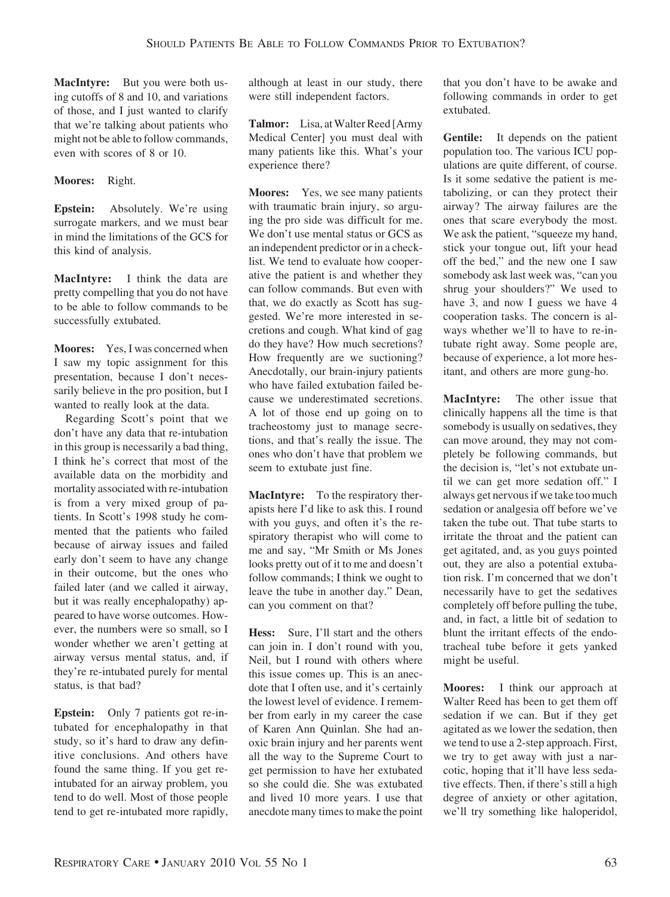**MacIntyre:** But you were both using cutoffs of 8 and 10, and variations of those, and I just wanted to clarify that we're talking about patients who might not be able to follow commands, even with scores of 8 or 10.

# **Moores:** Right.

**Epstein:** Absolutely. We're using surrogate markers, and we must bear in mind the limitations of the GCS for this kind of analysis.

**MacIntyre:** I think the data are pretty compelling that you do not have to be able to follow commands to be successfully extubated.

**Moores:** Yes, I was concerned when I saw my topic assignment for this presentation, because I don't necessarily believe in the pro position, but I wanted to really look at the data.

Regarding Scott's point that we don't have any data that re-intubation in this group is necessarily a bad thing, I think he's correct that most of the available data on the morbidity and mortality associated with re-intubation is from a very mixed group of patients. In Scott's 1998 study he commented that the patients who failed because of airway issues and failed early don't seem to have any change in their outcome, but the ones who failed later (and we called it airway, but it was really encephalopathy) appeared to have worse outcomes. However, the numbers were so small, so I wonder whether we aren't getting at airway versus mental status, and, if they're re-intubated purely for mental status, is that bad?

**Epstein:** Only 7 patients got re-intubated for encephalopathy in that study, so it's hard to draw any definitive conclusions. And others have found the same thing. If you get reintubated for an airway problem, you tend to do well. Most of those people tend to get re-intubated more rapidly,

although at least in our study, there were still independent factors.

Talmor: Lisa, at Walter Reed [Army Medical Center] you must deal with many patients like this. What's your experience there?

**Moores:** Yes, we see many patients with traumatic brain injury, so arguing the pro side was difficult for me. We don't use mental status or GCS as an independent predictor or in a checklist. We tend to evaluate how cooperative the patient is and whether they can follow commands. But even with that, we do exactly as Scott has suggested. We're more interested in secretions and cough. What kind of gag do they have? How much secretions? How frequently are we suctioning? Anecdotally, our brain-injury patients who have failed extubation failed because we underestimated secretions. A lot of those end up going on to tracheostomy just to manage secretions, and that's really the issue. The ones who don't have that problem we seem to extubate just fine.

**MacIntyre:** To the respiratory therapists here I'd like to ask this. I round with you guys, and often it's the respiratory therapist who will come to me and say, "Mr Smith or Ms Jones looks pretty out of it to me and doesn't follow commands; I think we ought to leave the tube in another day." Dean, can you comment on that?

**Hess:** Sure, I'll start and the others can join in. I don't round with you, Neil, but I round with others where this issue comes up. This is an anecdote that I often use, and it's certainly the lowest level of evidence. I remember from early in my career the case of Karen Ann Quinlan. She had anoxic brain injury and her parents went all the way to the Supreme Court to get permission to have her extubated so she could die. She was extubated and lived 10 more years. I use that anecdote many times to make the point that you don't have to be awake and following commands in order to get extubated.

**Gentile:** It depends on the patient population too. The various ICU populations are quite different, of course. Is it some sedative the patient is metabolizing, or can they protect their airway? The airway failures are the ones that scare everybody the most. We ask the patient, "squeeze my hand, stick your tongue out, lift your head off the bed," and the new one I saw somebody ask last week was, "can you shrug your shoulders?" We used to have 3, and now I guess we have 4 cooperation tasks. The concern is always whether we'll to have to re-intubate right away. Some people are, because of experience, a lot more hesitant, and others are more gung-ho.

**MacIntyre:** The other issue that clinically happens all the time is that somebody is usually on sedatives, they can move around, they may not completely be following commands, but the decision is, "let's not extubate until we can get more sedation off." I always get nervous if we take too much sedation or analgesia off before we've taken the tube out. That tube starts to irritate the throat and the patient can get agitated, and, as you guys pointed out, they are also a potential extubation risk. I'm concerned that we don't necessarily have to get the sedatives completely off before pulling the tube, and, in fact, a little bit of sedation to blunt the irritant effects of the endotracheal tube before it gets yanked might be useful.

**Moores:** I think our approach at Walter Reed has been to get them off sedation if we can. But if they get agitated as we lower the sedation, then we tend to use a 2-step approach. First, we try to get away with just a narcotic, hoping that it'll have less sedative effects. Then, if there's still a high degree of anxiety or other agitation, we'll try something like haloperidol,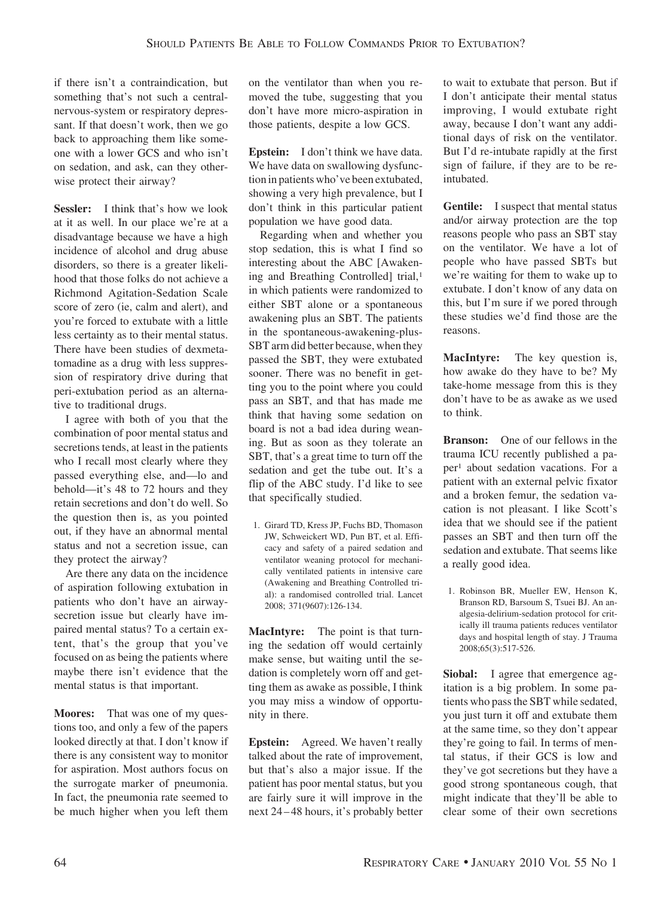if there isn't a contraindication, but something that's not such a centralnervous-system or respiratory depressant. If that doesn't work, then we go back to approaching them like someone with a lower GCS and who isn't on sedation, and ask, can they otherwise protect their airway?

**Sessler:** I think that's how we look at it as well. In our place we're at a disadvantage because we have a high incidence of alcohol and drug abuse disorders, so there is a greater likelihood that those folks do not achieve a Richmond Agitation-Sedation Scale score of zero (ie, calm and alert), and you're forced to extubate with a little less certainty as to their mental status. There have been studies of dexmetatomadine as a drug with less suppression of respiratory drive during that peri-extubation period as an alternative to traditional drugs.

I agree with both of you that the combination of poor mental status and secretions tends, at least in the patients who I recall most clearly where they passed everything else, and—lo and behold—it's 48 to 72 hours and they retain secretions and don't do well. So the question then is, as you pointed out, if they have an abnormal mental status and not a secretion issue, can they protect the airway?

Are there any data on the incidence of aspiration following extubation in patients who don't have an airwaysecretion issue but clearly have impaired mental status? To a certain extent, that's the group that you've focused on as being the patients where maybe there isn't evidence that the mental status is that important.

**Moores:** That was one of my questions too, and only a few of the papers looked directly at that. I don't know if there is any consistent way to monitor for aspiration. Most authors focus on the surrogate marker of pneumonia. In fact, the pneumonia rate seemed to be much higher when you left them

on the ventilator than when you removed the tube, suggesting that you don't have more micro-aspiration in those patients, despite a low GCS.

**Epstein:** I don't think we have data. We have data on swallowing dysfunction in patients who've been extubated, showing a very high prevalence, but I don't think in this particular patient population we have good data.

Regarding when and whether you stop sedation, this is what I find so interesting about the ABC [Awakening and Breathing Controlled] trial,<sup>1</sup> in which patients were randomized to either SBT alone or a spontaneous awakening plus an SBT. The patients in the spontaneous-awakening-plus-SBT arm did better because, when they passed the SBT, they were extubated sooner. There was no benefit in getting you to the point where you could pass an SBT, and that has made me think that having some sedation on board is not a bad idea during weaning. But as soon as they tolerate an SBT, that's a great time to turn off the sedation and get the tube out. It's a flip of the ABC study. I'd like to see that specifically studied.

1. Girard TD, Kress JP, Fuchs BD, Thomason JW, Schweickert WD, Pun BT, et al. Efficacy and safety of a paired sedation and ventilator weaning protocol for mechanically ventilated patients in intensive care (Awakening and Breathing Controlled trial): a randomised controlled trial. Lancet 2008; 371(9607):126-134.

**MacIntyre:** The point is that turning the sedation off would certainly make sense, but waiting until the sedation is completely worn off and getting them as awake as possible, I think you may miss a window of opportunity in there.

**Epstein:** Agreed. We haven't really talked about the rate of improvement, but that's also a major issue. If the patient has poor mental status, but you are fairly sure it will improve in the next 24 – 48 hours, it's probably better to wait to extubate that person. But if I don't anticipate their mental status improving, I would extubate right away, because I don't want any additional days of risk on the ventilator. But I'd re-intubate rapidly at the first sign of failure, if they are to be reintubated.

**Gentile:** I suspect that mental status and/or airway protection are the top reasons people who pass an SBT stay on the ventilator. We have a lot of people who have passed SBTs but we're waiting for them to wake up to extubate. I don't know of any data on this, but I'm sure if we pored through these studies we'd find those are the reasons.

**MacIntyre:** The key question is, how awake do they have to be? My take-home message from this is they don't have to be as awake as we used to think.

**Branson:** One of our fellows in the trauma ICU recently published a paper1 about sedation vacations. For a patient with an external pelvic fixator and a broken femur, the sedation vacation is not pleasant. I like Scott's idea that we should see if the patient passes an SBT and then turn off the sedation and extubate. That seems like a really good idea.

1. Robinson BR, Mueller EW, Henson K, Branson RD, Barsoum S, Tsuei BJ. An analgesia-delirium-sedation protocol for critically ill trauma patients reduces ventilator days and hospital length of stay. J Trauma 2008;65(3):517-526.

**Siobal:** I agree that emergence agitation is a big problem. In some patients who pass the SBT while sedated, you just turn it off and extubate them at the same time, so they don't appear they're going to fail. In terms of mental status, if their GCS is low and they've got secretions but they have a good strong spontaneous cough, that might indicate that they'll be able to clear some of their own secretions